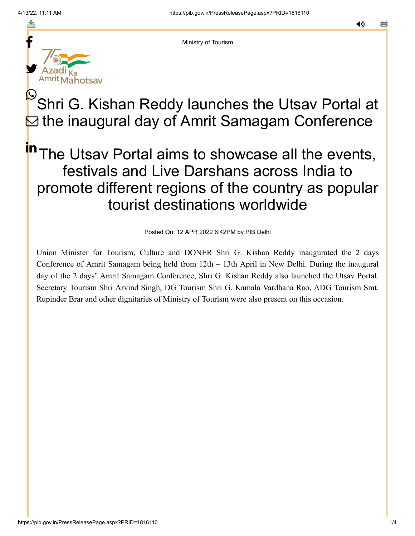≛



Ministry of Tourism

## Shri G. Kishan Reddy launches the Utsav Portal at  $\boxdot$  the inaugural day of Amrit Samagam Conference  $\mathbf{\mathbb{O}}$  ,

## The Utsav Portal aims to showcase all the events, festivals and Live Darshans across India to promote different regions of the country as popular tourist destinations worldwide in

Posted On: 12 APR 2022 6:42PM by PIB Delhi

Union Minister for Tourism, Culture and DONER Shri G. Kishan Reddy inaugurated the 2 days Conference of Amrit Samagam being held from 12th – 13th April in New Delhi. During the inaugural day of the 2 days' Amrit Samagam Conference, Shri G. Kishan Reddy also launched the Utsav Portal. Secretary Tourism Shri Arvind Singh, DG Tourism Shri G. Kamala Vardhana Rao, ADG Tourism Smt. Rupinder Brar and other dignitaries of Ministry of Tourism were also present on this occasion.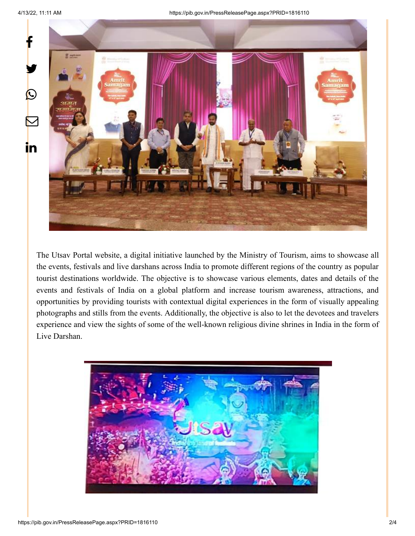



The Utsav Portal website, a digital initiative launched by the Ministry of Tourism, aims to showcase all the events, festivals and live darshans across India to promote different regions of the country as popular tourist destinations worldwide. The objective is to showcase various elements, dates and details of the events and festivals of India on a global platform and increase tourism awareness, attractions, and opportunities by providing tourists with contextual digital experiences in the form of visually appealing photographs and stills from the events. Additionally, the objective is also to let the devotees and travelers experience and view the sights of some of the well-known religious divine shrines in India in the form of Live Darshan.

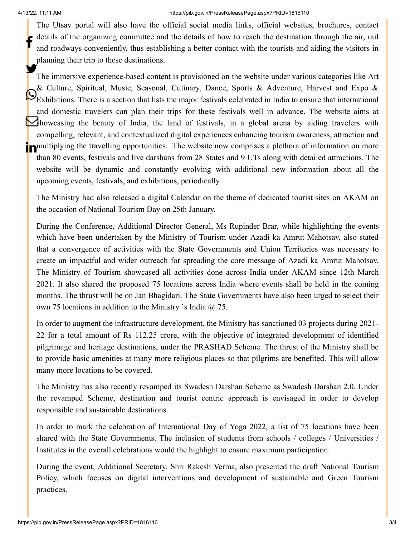The Utsav portal will also have the official social media links, official websites, brochures, contact details of the organizing committee and the details of how to reach the destination through the air, rail and roadways conveniently, thus establishing a better contact with the tourists and aiding the visitors in planning their trip to these destinations. f

The immersive experience-based content is provisioned on the website under various categories like Art & Culture, Spiritual, Music, Seasonal, Culinary, Dance, Sports & Adventure, Harvest and Expo &  $\mathbb{C}_{\text{Exhibitions. There is a section that lists the major festival schedules}$  selebrated in India to ensure that international and domestic travelers can plan their trips for these festivals well in advance. The website aims at showcasing the beauty of India, the land of festivals, in a global arena by aiding travelers with compelling, relevant, and contextualized digital experiences enhancing tourism awareness, attraction and **in** multiplying the travelling opportunities. The website now comprises a plethora of information on more than 80 events, festivals and live darshans from 28 States and 9 UTs along with detailed attractions. The website will be dynamic and constantly evolving with additional new information about all the upcoming events, festivals, and exhibitions, periodically. У.

The Ministry had also released a digital Calendar on the theme of dedicated tourist sites on AKAM on the occasion of National Tourism Day on 25th January.

During the Conference, Additional Director General, Ms Rupinder Brar, while highlighting the events which have been undertaken by the Ministry of Tourism under Azadi ka Amrut Mahotsav, also stated that a convergence of activities with the State Governments and Union Territories was necessary to create an impactful and wider outreach for spreading the core message of Azadi ka Amrut Mahotsav. The Ministry of Tourism showcased all activities done across India under AKAM since 12th March 2021. It also shared the proposed 75 locations across India where events shall be held in the coming months. The thrust will be on Jan Bhagidari. The State Governments have also been urged to select their own 75 locations in addition to the Ministry `s India  $\omega$  75.

In order to augment the infrastructure development, the Ministry has sanctioned 03 projects during 2021- 22 for a total amount of Rs 112.25 crore, with the objective of integrated development of identified pilgrimage and heritage destinations, under the PRASHAD Scheme. The thrust of the Ministry shall be to provide basic amenities at many more religious places so that pilgrims are benefited. This will allow many more locations to be covered.

The Ministry has also recently revamped its Swadesh Darshan Scheme as Swadesh Darshan 2.0. Under the revamped Scheme, destination and tourist centric approach is envisaged in order to develop responsible and sustainable destinations.

In order to mark the celebration of International Day of Yoga 2022, a list of 75 locations have been shared with the State Governments. The inclusion of students from schools / colleges / Universities / Institutes in the overall celebrations would the highlight to ensure maximum participation.

During the event, Additional Secretary, Shri Rakesh Verma, also presented the draft National Tourism Policy, which focuses on digital interventions and development of sustainable and Green Tourism practices.